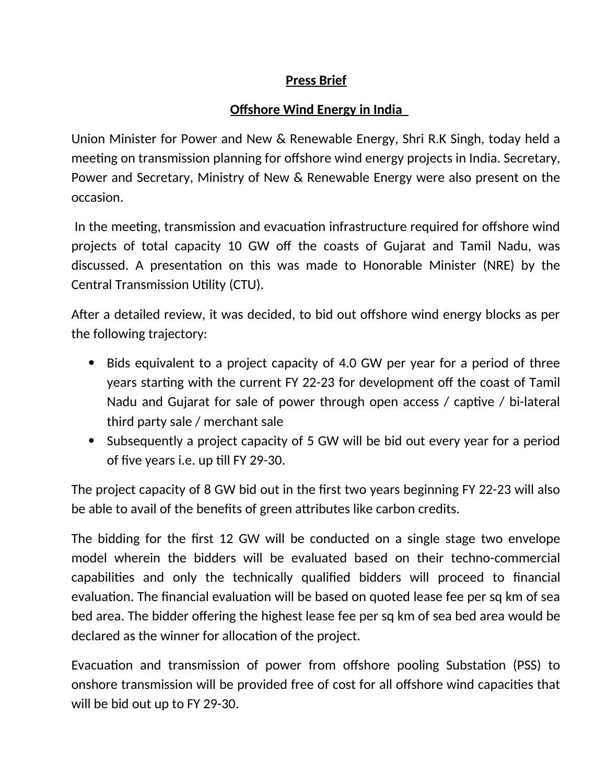## **Press Brief**

## **Offshore Wind Energy in India**

Union Minister for Power and New & Renewable Energy, Shri R.K Singh, today held a meeting on transmission planning for offshore wind energy projects in India. Secretary, Power and Secretary, Ministry of New & Renewable Energy were also present on the occasion.

 In the meeting, transmission and evacuation infrastructure required for offshore wind projects of total capacity 10 GW off the coasts of Gujarat and Tamil Nadu, was discussed. A presentation on this was made to Honorable Minister (NRE) by the Central Transmission Utility (CTU).

After a detailed review, it was decided, to bid out offshore wind energy blocks as per the following trajectory:

- Bids equivalent to a project capacity of 4.0 GW per year for a period of three years starting with the current FY 22-23 for development off the coast of Tamil Nadu and Gujarat for sale of power through open access / captive / bi-lateral third party sale / merchant sale
- Subsequently a project capacity of 5 GW will be bid out every year for a period of five years i.e. up till FY 29-30.

The project capacity of 8 GW bid out in the first two years beginning FY 22-23 will also be able to avail of the benefits of green attributes like carbon credits.

The bidding for the first 12 GW will be conducted on a single stage two envelope model wherein the bidders will be evaluated based on their techno-commercial capabilities and only the technically qualified bidders will proceed to financial evaluation. The financial evaluation will be based on quoted lease fee per sq km of sea bed area. The bidder offering the highest lease fee per sq km of sea bed area would be declared as the winner for allocation of the project.

Evacuation and transmission of power from offshore pooling Substation (PSS) to onshore transmission will be provided free of cost for all offshore wind capacities that will be bid out up to FY 29-30.